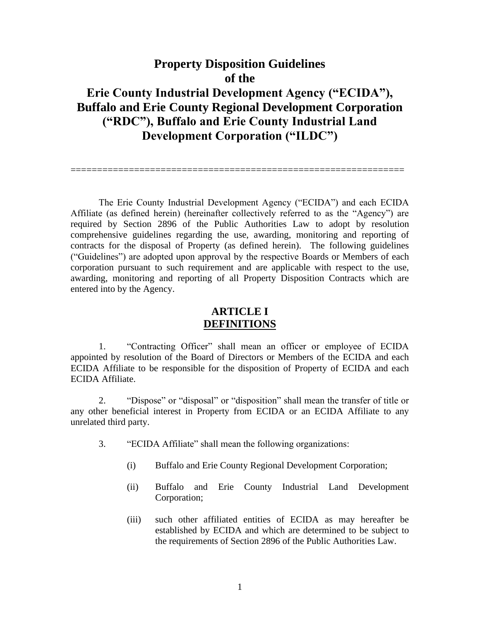# **Property Disposition Guidelines of the Erie County Industrial Development Agency ("ECIDA"), Buffalo and Erie County Regional Development Corporation ("RDC"), Buffalo and Erie County Industrial Land Development Corporation ("ILDC")**

===============================================================

The Erie County Industrial Development Agency ("ECIDA") and each ECIDA Affiliate (as defined herein) (hereinafter collectively referred to as the "Agency") are required by Section 2896 of the Public Authorities Law to adopt by resolution comprehensive guidelines regarding the use, awarding, monitoring and reporting of contracts for the disposal of Property (as defined herein). The following guidelines ("Guidelines") are adopted upon approval by the respective Boards or Members of each corporation pursuant to such requirement and are applicable with respect to the use, awarding, monitoring and reporting of all Property Disposition Contracts which are entered into by the Agency.

## **ARTICLE I DEFINITIONS**

1. "Contracting Officer" shall mean an officer or employee of ECIDA appointed by resolution of the Board of Directors or Members of the ECIDA and each ECIDA Affiliate to be responsible for the disposition of Property of ECIDA and each ECIDA Affiliate.

2. "Dispose" or "disposal" or "disposition" shall mean the transfer of title or any other beneficial interest in Property from ECIDA or an ECIDA Affiliate to any unrelated third party.

- 3. "ECIDA Affiliate" shall mean the following organizations:
	- (i) Buffalo and Erie County Regional Development Corporation;
	- (ii) Buffalo and Erie County Industrial Land Development Corporation;
	- (iii) such other affiliated entities of ECIDA as may hereafter be established by ECIDA and which are determined to be subject to the requirements of Section 2896 of the Public Authorities Law.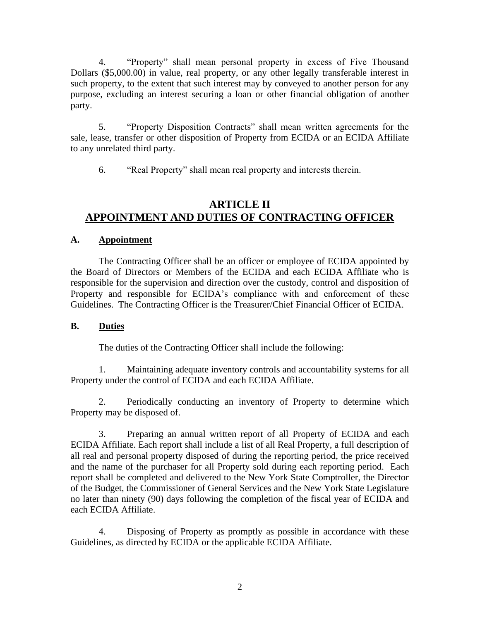4. "Property" shall mean personal property in excess of Five Thousand Dollars (\$5,000.00) in value, real property, or any other legally transferable interest in such property, to the extent that such interest may by conveyed to another person for any purpose, excluding an interest securing a loan or other financial obligation of another party.

5. "Property Disposition Contracts" shall mean written agreements for the sale, lease, transfer or other disposition of Property from ECIDA or an ECIDA Affiliate to any unrelated third party.

6. "Real Property" shall mean real property and interests therein.

## **ARTICLE II APPOINTMENT AND DUTIES OF CONTRACTING OFFICER**

#### **A. Appointment**

The Contracting Officer shall be an officer or employee of ECIDA appointed by the Board of Directors or Members of the ECIDA and each ECIDA Affiliate who is responsible for the supervision and direction over the custody, control and disposition of Property and responsible for ECIDA's compliance with and enforcement of these Guidelines. The Contracting Officer is the Treasurer/Chief Financial Officer of ECIDA.

### **B. Duties**

The duties of the Contracting Officer shall include the following:

1. Maintaining adequate inventory controls and accountability systems for all Property under the control of ECIDA and each ECIDA Affiliate.

2. Periodically conducting an inventory of Property to determine which Property may be disposed of.

3. Preparing an annual written report of all Property of ECIDA and each ECIDA Affiliate. Each report shall include a list of all Real Property, a full description of all real and personal property disposed of during the reporting period, the price received and the name of the purchaser for all Property sold during each reporting period. Each report shall be completed and delivered to the New York State Comptroller, the Director of the Budget, the Commissioner of General Services and the New York State Legislature no later than ninety (90) days following the completion of the fiscal year of ECIDA and each ECIDA Affiliate.

4. Disposing of Property as promptly as possible in accordance with these Guidelines, as directed by ECIDA or the applicable ECIDA Affiliate.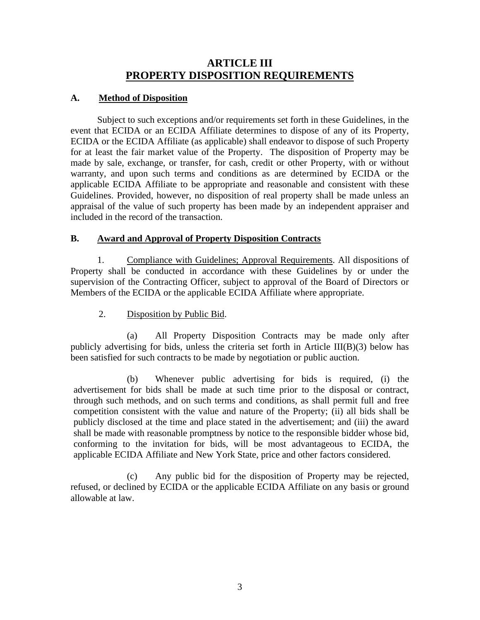## **ARTICLE III PROPERTY DISPOSITION REQUIREMENTS**

#### **A. Method of Disposition**

Subject to such exceptions and/or requirements set forth in these Guidelines, in the event that ECIDA or an ECIDA Affiliate determines to dispose of any of its Property, ECIDA or the ECIDA Affiliate (as applicable) shall endeavor to dispose of such Property for at least the fair market value of the Property. The disposition of Property may be made by sale, exchange, or transfer, for cash, credit or other Property, with or without warranty, and upon such terms and conditions as are determined by ECIDA or the applicable ECIDA Affiliate to be appropriate and reasonable and consistent with these Guidelines. Provided, however, no disposition of real property shall be made unless an appraisal of the value of such property has been made by an independent appraiser and included in the record of the transaction.

#### **B. Award and Approval of Property Disposition Contracts**

1. Compliance with Guidelines; Approval Requirements. All dispositions of Property shall be conducted in accordance with these Guidelines by or under the supervision of the Contracting Officer, subject to approval of the Board of Directors or Members of the ECIDA or the applicable ECIDA Affiliate where appropriate.

2. Disposition by Public Bid.

(a) All Property Disposition Contracts may be made only after publicly advertising for bids, unless the criteria set forth in Article III(B)(3) below has been satisfied for such contracts to be made by negotiation or public auction.

(b) Whenever public advertising for bids is required, (i) the advertisement for bids shall be made at such time prior to the disposal or contract, through such methods, and on such terms and conditions, as shall permit full and free competition consistent with the value and nature of the Property; (ii) all bids shall be publicly disclosed at the time and place stated in the advertisement; and (iii) the award shall be made with reasonable promptness by notice to the responsible bidder whose bid, conforming to the invitation for bids, will be most advantageous to ECIDA, the applicable ECIDA Affiliate and New York State, price and other factors considered.

(c) Any public bid for the disposition of Property may be rejected, refused, or declined by ECIDA or the applicable ECIDA Affiliate on any basis or ground allowable at law.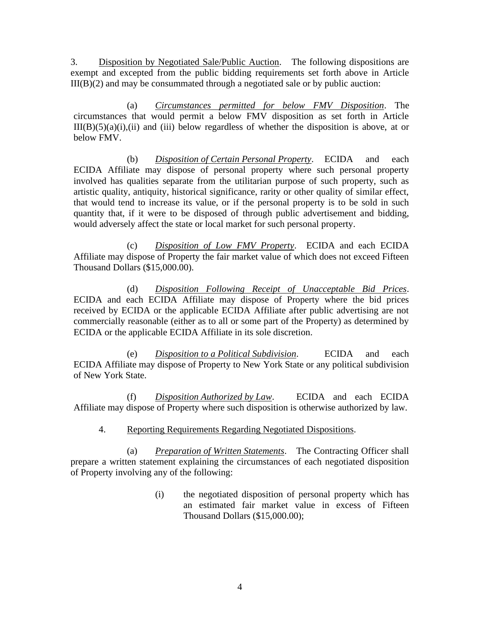3. Disposition by Negotiated Sale/Public Auction. The following dispositions are exempt and excepted from the public bidding requirements set forth above in Article  $III(B)(2)$  and may be consummated through a negotiated sale or by public auction:

(a) *Circumstances permitted for below FMV Disposition*. The circumstances that would permit a below FMV disposition as set forth in Article  $III(B)(5)(a)(i)$ , (ii) and (iii) below regardless of whether the disposition is above, at or below FMV.

(b) *Disposition of Certain Personal Property*. ECIDA and each ECIDA Affiliate may dispose of personal property where such personal property involved has qualities separate from the utilitarian purpose of such property, such as artistic quality, antiquity, historical significance, rarity or other quality of similar effect, that would tend to increase its value, or if the personal property is to be sold in such quantity that, if it were to be disposed of through public advertisement and bidding, would adversely affect the state or local market for such personal property.

(c) *Disposition of Low FMV Property*. ECIDA and each ECIDA Affiliate may dispose of Property the fair market value of which does not exceed Fifteen Thousand Dollars (\$15,000.00).

(d) *Disposition Following Receipt of Unacceptable Bid Prices*. ECIDA and each ECIDA Affiliate may dispose of Property where the bid prices received by ECIDA or the applicable ECIDA Affiliate after public advertising are not commercially reasonable (either as to all or some part of the Property) as determined by ECIDA or the applicable ECIDA Affiliate in its sole discretion.

(e) *Disposition to a Political Subdivision*. ECIDA and each ECIDA Affiliate may dispose of Property to New York State or any political subdivision of New York State.

(f) *Disposition Authorized by Law*. ECIDA and each ECIDA Affiliate may dispose of Property where such disposition is otherwise authorized by law.

#### 4. Reporting Requirements Regarding Negotiated Dispositions.

(a) *Preparation of Written Statements*. The Contracting Officer shall prepare a written statement explaining the circumstances of each negotiated disposition of Property involving any of the following:

> (i) the negotiated disposition of personal property which has an estimated fair market value in excess of Fifteen Thousand Dollars (\$15,000.00);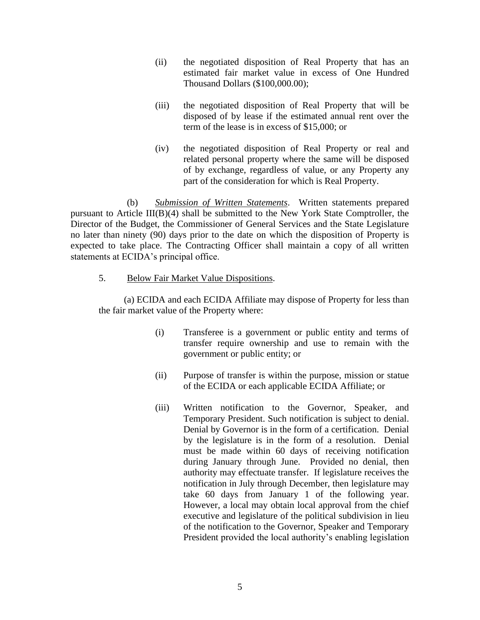- (ii) the negotiated disposition of Real Property that has an estimated fair market value in excess of One Hundred Thousand Dollars (\$100,000.00);
- (iii) the negotiated disposition of Real Property that will be disposed of by lease if the estimated annual rent over the term of the lease is in excess of \$15,000; or
- (iv) the negotiated disposition of Real Property or real and related personal property where the same will be disposed of by exchange, regardless of value, or any Property any part of the consideration for which is Real Property.

(b) *Submission of Written Statements*. Written statements prepared pursuant to Article  $III(B)(4)$  shall be submitted to the New York State Comptroller, the Director of the Budget, the Commissioner of General Services and the State Legislature no later than ninety (90) days prior to the date on which the disposition of Property is expected to take place. The Contracting Officer shall maintain a copy of all written statements at ECIDA's principal office.

5. Below Fair Market Value Dispositions.

(a) ECIDA and each ECIDA Affiliate may dispose of Property for less than the fair market value of the Property where:

- (i) Transferee is a government or public entity and terms of transfer require ownership and use to remain with the government or public entity; or
- (ii) Purpose of transfer is within the purpose, mission or statue of the ECIDA or each applicable ECIDA Affiliate; or
- (iii) Written notification to the Governor, Speaker, and Temporary President. Such notification is subject to denial. Denial by Governor is in the form of a certification. Denial by the legislature is in the form of a resolution. Denial must be made within 60 days of receiving notification during January through June. Provided no denial, then authority may effectuate transfer. If legislature receives the notification in July through December, then legislature may take 60 days from January 1 of the following year. However, a local may obtain local approval from the chief executive and legislature of the political subdivision in lieu of the notification to the Governor, Speaker and Temporary President provided the local authority's enabling legislation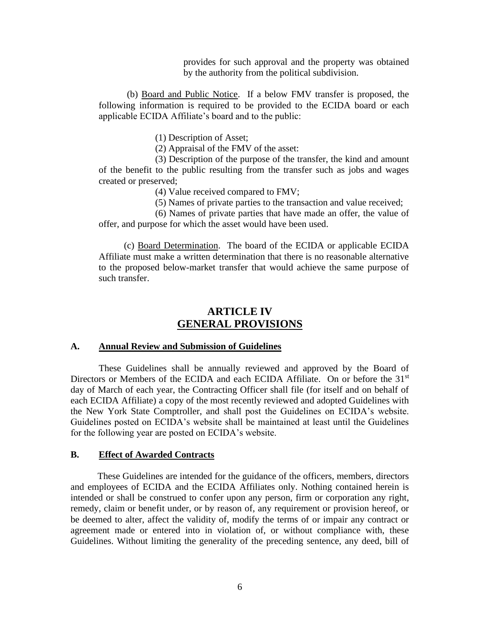provides for such approval and the property was obtained by the authority from the political subdivision.

(b) Board and Public Notice. If a below FMV transfer is proposed, the following information is required to be provided to the ECIDA board or each applicable ECIDA Affiliate's board and to the public:

(1) Description of Asset;

(2) Appraisal of the FMV of the asset:

(3) Description of the purpose of the transfer, the kind and amount of the benefit to the public resulting from the transfer such as jobs and wages created or preserved;

(4) Value received compared to FMV;

(5) Names of private parties to the transaction and value received;

(6) Names of private parties that have made an offer, the value of offer, and purpose for which the asset would have been used.

(c) Board Determination. The board of the ECIDA or applicable ECIDA Affiliate must make a written determination that there is no reasonable alternative to the proposed below-market transfer that would achieve the same purpose of such transfer.

## **ARTICLE IV GENERAL PROVISIONS**

#### **A. Annual Review and Submission of Guidelines**

These Guidelines shall be annually reviewed and approved by the Board of Directors or Members of the ECIDA and each ECIDA Affiliate. On or before the 31<sup>st</sup> day of March of each year, the Contracting Officer shall file (for itself and on behalf of each ECIDA Affiliate) a copy of the most recently reviewed and adopted Guidelines with the New York State Comptroller, and shall post the Guidelines on ECIDA's website. Guidelines posted on ECIDA's website shall be maintained at least until the Guidelines for the following year are posted on ECIDA's website.

#### **B. Effect of Awarded Contracts**

These Guidelines are intended for the guidance of the officers, members, directors and employees of ECIDA and the ECIDA Affiliates only. Nothing contained herein is intended or shall be construed to confer upon any person, firm or corporation any right, remedy, claim or benefit under, or by reason of, any requirement or provision hereof, or be deemed to alter, affect the validity of, modify the terms of or impair any contract or agreement made or entered into in violation of, or without compliance with, these Guidelines. Without limiting the generality of the preceding sentence, any deed, bill of